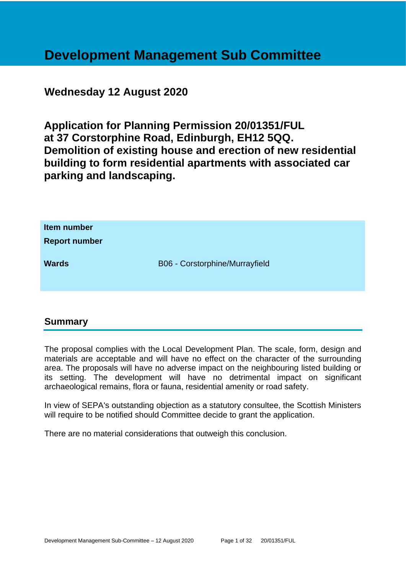# **Development Management Sub Committee**

# **Wednesday 12 August 2020**

**Application for Planning Permission 20/01351/FUL at 37 Corstorphine Road, Edinburgh, EH12 5QQ. Demolition of existing house and erection of new residential building to form residential apartments with associated car parking and landscaping.**

| Item number<br><b>Report number</b> |                                |
|-------------------------------------|--------------------------------|
| <b>Wards</b>                        | B06 - Corstorphine/Murrayfield |

# **Summary**

The proposal complies with the Local Development Plan. The scale, form, design and materials are acceptable and will have no effect on the character of the surrounding area. The proposals will have no adverse impact on the neighbouring listed building or its setting. The development will have no detrimental impact on significant archaeological remains, flora or fauna, residential amenity or road safety.

In view of SEPA's outstanding objection as a statutory consultee, the Scottish Ministers will require to be notified should Committee decide to grant the application.

There are no material considerations that outweigh this conclusion.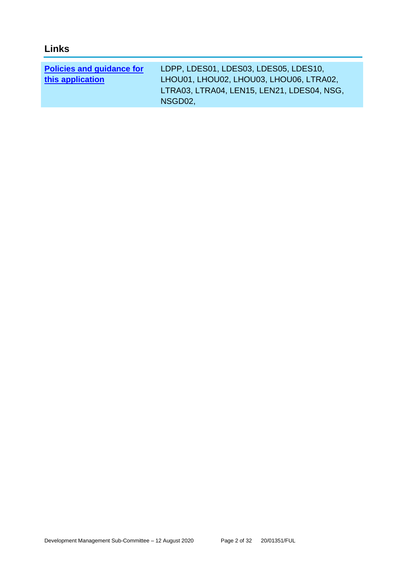| <b>Links</b>                                         |                                                                                                                                |
|------------------------------------------------------|--------------------------------------------------------------------------------------------------------------------------------|
| <b>Policies and guidance for</b><br>this application | LDPP, LDES01, LDES03, LDES05, LDES10,<br>LHOU01, LHOU02, LHOU03, LHOU06, LTRA02,<br>LTRA03, LTRA04, LEN15, LEN21, LDES04, NSG, |
|                                                      | NSGD02,                                                                                                                        |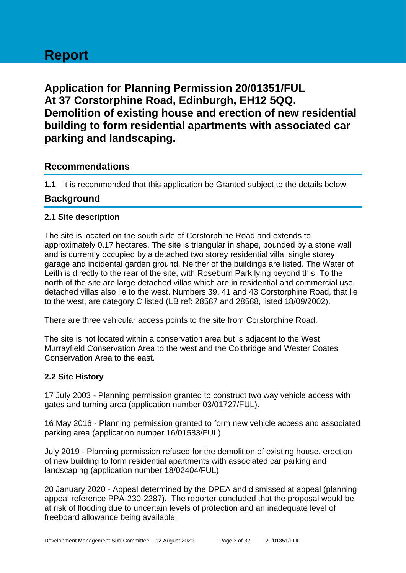# **Report**

**Application for Planning Permission 20/01351/FUL At 37 Corstorphine Road, Edinburgh, EH12 5QQ. Demolition of existing house and erection of new residential building to form residential apartments with associated car parking and landscaping.**

# **Recommendations**

**1.1** It is recommended that this application be Granted subject to the details below.

# **Background**

# **2.1 Site description**

The site is located on the south side of Corstorphine Road and extends to approximately 0.17 hectares. The site is triangular in shape, bounded by a stone wall and is currently occupied by a detached two storey residential villa, single storey garage and incidental garden ground. Neither of the buildings are listed. The Water of Leith is directly to the rear of the site, with Roseburn Park lying beyond this. To the north of the site are large detached villas which are in residential and commercial use, detached villas also lie to the west. Numbers 39, 41 and 43 Corstorphine Road, that lie to the west, are category C listed (LB ref: 28587 and 28588, listed 18/09/2002).

There are three vehicular access points to the site from Corstorphine Road.

The site is not located within a conservation area but is adjacent to the West Murrayfield Conservation Area to the west and the Coltbridge and Wester Coates Conservation Area to the east.

# **2.2 Site History**

17 July 2003 - Planning permission granted to construct two way vehicle access with gates and turning area (application number 03/01727/FUL).

16 May 2016 - Planning permission granted to form new vehicle access and associated parking area (application number 16/01583/FUL).

July 2019 - Planning permission refused for the demolition of existing house, erection of new building to form residential apartments with associated car parking and landscaping (application number 18/02404/FUL).

20 January 2020 - Appeal determined by the DPEA and dismissed at appeal (planning appeal reference PPA-230-2287). The reporter concluded that the proposal would be at risk of flooding due to uncertain levels of protection and an inadequate level of freeboard allowance being available.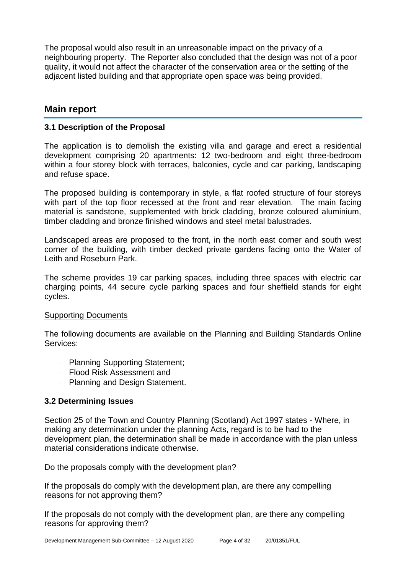The proposal would also result in an unreasonable impact on the privacy of a neighbouring property. The Reporter also concluded that the design was not of a poor quality, it would not affect the character of the conservation area or the setting of the adjacent listed building and that appropriate open space was being provided.

# **Main report**

# **3.1 Description of the Proposal**

The application is to demolish the existing villa and garage and erect a residential development comprising 20 apartments: 12 two-bedroom and eight three-bedroom within a four storey block with terraces, balconies, cycle and car parking, landscaping and refuse space.

The proposed building is contemporary in style, a flat roofed structure of four storeys with part of the top floor recessed at the front and rear elevation. The main facing material is sandstone, supplemented with brick cladding, bronze coloured aluminium, timber cladding and bronze finished windows and steel metal balustrades.

Landscaped areas are proposed to the front, in the north east corner and south west corner of the building, with timber decked private gardens facing onto the Water of Leith and Roseburn Park.

The scheme provides 19 car parking spaces, including three spaces with electric car charging points, 44 secure cycle parking spaces and four sheffield stands for eight cycles.

# Supporting Documents

The following documents are available on the Planning and Building Standards Online Services:

- − Planning Supporting Statement;
- − Flood Risk Assessment and
- − Planning and Design Statement.

# **3.2 Determining Issues**

Section 25 of the Town and Country Planning (Scotland) Act 1997 states - Where, in making any determination under the planning Acts, regard is to be had to the development plan, the determination shall be made in accordance with the plan unless material considerations indicate otherwise.

Do the proposals comply with the development plan?

If the proposals do comply with the development plan, are there any compelling reasons for not approving them?

If the proposals do not comply with the development plan, are there any compelling reasons for approving them?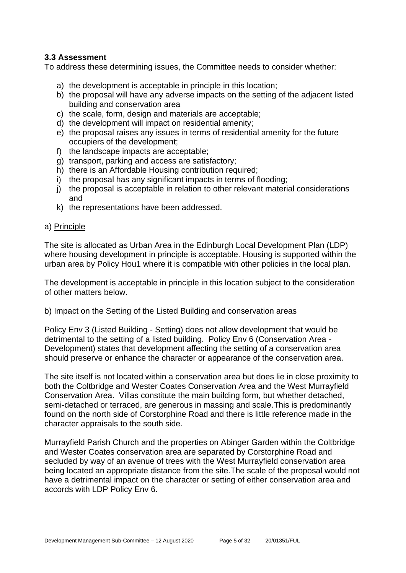# **3.3 Assessment**

To address these determining issues, the Committee needs to consider whether:

- a) the development is acceptable in principle in this location;
- b) the proposal will have any adverse impacts on the setting of the adjacent listed building and conservation area
- c) the scale, form, design and materials are acceptable;
- d) the development will impact on residential amenity;
- e) the proposal raises any issues in terms of residential amenity for the future occupiers of the development;
- f) the landscape impacts are acceptable;
- g) transport, parking and access are satisfactory;
- h) there is an Affordable Housing contribution required;
- i) the proposal has any significant impacts in terms of flooding;
- j) the proposal is acceptable in relation to other relevant material considerations and
- k) the representations have been addressed.

#### a) Principle

The site is allocated as Urban Area in the Edinburgh Local Development Plan (LDP) where housing development in principle is acceptable. Housing is supported within the urban area by Policy Hou1 where it is compatible with other policies in the local plan.

The development is acceptable in principle in this location subject to the consideration of other matters below.

# b) Impact on the Setting of the Listed Building and conservation areas

Policy Env 3 (Listed Building - Setting) does not allow development that would be detrimental to the setting of a listed building. Policy Env 6 (Conservation Area - Development) states that development affecting the setting of a conservation area should preserve or enhance the character or appearance of the conservation area.

The site itself is not located within a conservation area but does lie in close proximity to both the Coltbridge and Wester Coates Conservation Area and the West Murrayfield Conservation Area. Villas constitute the main building form, but whether detached, semi-detached or terraced, are generous in massing and scale.This is predominantly found on the north side of Corstorphine Road and there is little reference made in the character appraisals to the south side.

Murrayfield Parish Church and the properties on Abinger Garden within the Coltbridge and Wester Coates conservation area are separated by Corstorphine Road and secluded by way of an avenue of trees with the West Murrayfield conservation area being located an appropriate distance from the site.The scale of the proposal would not have a detrimental impact on the character or setting of either conservation area and accords with LDP Policy Env 6.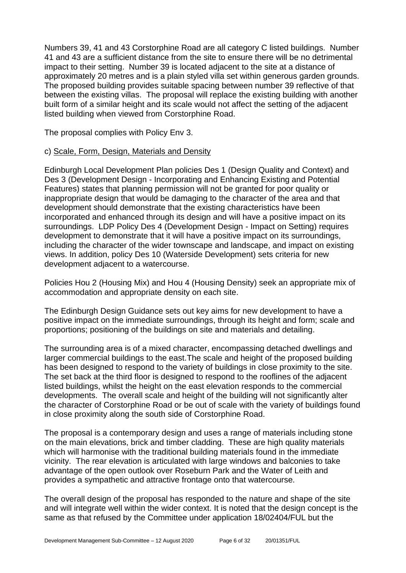Numbers 39, 41 and 43 Corstorphine Road are all category C listed buildings. Number 41 and 43 are a sufficient distance from the site to ensure there will be no detrimental impact to their setting. Number 39 is located adjacent to the site at a distance of approximately 20 metres and is a plain styled villa set within generous garden grounds. The proposed building provides suitable spacing between number 39 reflective of that between the existing villas. The proposal will replace the existing building with another built form of a similar height and its scale would not affect the setting of the adjacent listed building when viewed from Corstorphine Road.

The proposal complies with Policy Env 3.

# c) Scale, Form, Design, Materials and Density

Edinburgh Local Development Plan policies Des 1 (Design Quality and Context) and Des 3 (Development Design - Incorporating and Enhancing Existing and Potential Features) states that planning permission will not be granted for poor quality or inappropriate design that would be damaging to the character of the area and that development should demonstrate that the existing characteristics have been incorporated and enhanced through its design and will have a positive impact on its surroundings. LDP Policy Des 4 (Development Design - Impact on Setting) requires development to demonstrate that it will have a positive impact on its surroundings, including the character of the wider townscape and landscape, and impact on existing views. In addition, policy Des 10 (Waterside Development) sets criteria for new development adjacent to a watercourse.

Policies Hou 2 (Housing Mix) and Hou 4 (Housing Density) seek an appropriate mix of accommodation and appropriate density on each site.

The Edinburgh Design Guidance sets out key aims for new development to have a positive impact on the immediate surroundings, through its height and form; scale and proportions; positioning of the buildings on site and materials and detailing.

The surrounding area is of a mixed character, encompassing detached dwellings and larger commercial buildings to the east.The scale and height of the proposed building has been designed to respond to the variety of buildings in close proximity to the site. The set back at the third floor is designed to respond to the rooflines of the adjacent listed buildings, whilst the height on the east elevation responds to the commercial developments. The overall scale and height of the building will not significantly alter the character of Corstorphine Road or be out of scale with the variety of buildings found in close proximity along the south side of Corstorphine Road.

The proposal is a contemporary design and uses a range of materials including stone on the main elevations, brick and timber cladding. These are high quality materials which will harmonise with the traditional building materials found in the immediate vicinity. The rear elevation is articulated with large windows and balconies to take advantage of the open outlook over Roseburn Park and the Water of Leith and provides a sympathetic and attractive frontage onto that watercourse.

The overall design of the proposal has responded to the nature and shape of the site and will integrate well within the wider context. It is noted that the design concept is the same as that refused by the Committee under application 18/02404/FUL but the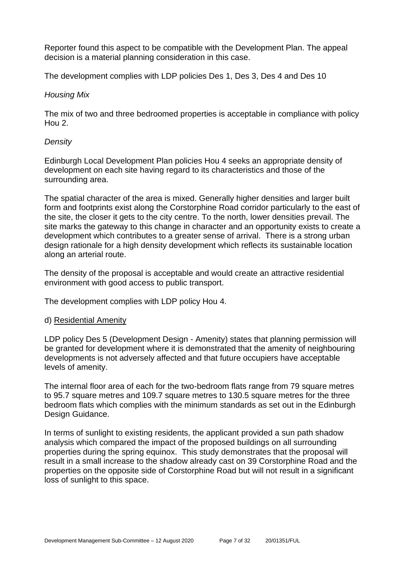Reporter found this aspect to be compatible with the Development Plan. The appeal decision is a material planning consideration in this case.

The development complies with LDP policies Des 1, Des 3, Des 4 and Des 10

#### *Housing Mix*

The mix of two and three bedroomed properties is acceptable in compliance with policy Hou 2.

# *Density*

Edinburgh Local Development Plan policies Hou 4 seeks an appropriate density of development on each site having regard to its characteristics and those of the surrounding area.

The spatial character of the area is mixed. Generally higher densities and larger built form and footprints exist along the Corstorphine Road corridor particularly to the east of the site, the closer it gets to the city centre. To the north, lower densities prevail. The site marks the gateway to this change in character and an opportunity exists to create a development which contributes to a greater sense of arrival. There is a strong urban design rationale for a high density development which reflects its sustainable location along an arterial route.

The density of the proposal is acceptable and would create an attractive residential environment with good access to public transport.

The development complies with LDP policy Hou 4.

#### d) Residential Amenity

LDP policy Des 5 (Development Design - Amenity) states that planning permission will be granted for development where it is demonstrated that the amenity of neighbouring developments is not adversely affected and that future occupiers have acceptable levels of amenity.

The internal floor area of each for the two-bedroom flats range from 79 square metres to 95.7 square metres and 109.7 square metres to 130.5 square metres for the three bedroom flats which complies with the minimum standards as set out in the Edinburgh Design Guidance.

In terms of sunlight to existing residents, the applicant provided a sun path shadow analysis which compared the impact of the proposed buildings on all surrounding properties during the spring equinox. This study demonstrates that the proposal will result in a small increase to the shadow already cast on 39 Corstorphine Road and the properties on the opposite side of Corstorphine Road but will not result in a significant loss of sunlight to this space.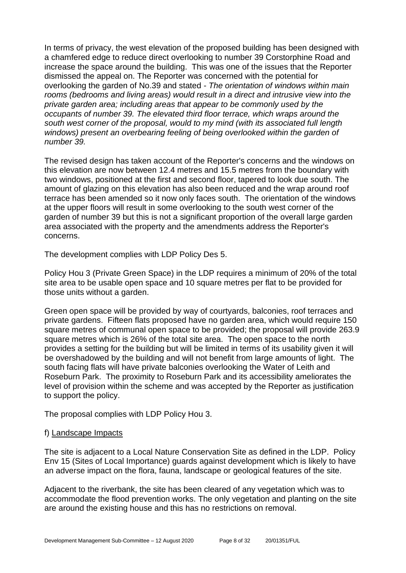In terms of privacy, the west elevation of the proposed building has been designed with a chamfered edge to reduce direct overlooking to number 39 Corstorphine Road and increase the space around the building. This was one of the issues that the Reporter dismissed the appeal on. The Reporter was concerned with the potential for overlooking the garden of No.39 and stated - *The orientation of windows within main rooms (bedrooms and living areas) would result in a direct and intrusive view into the private garden area; including areas that appear to be commonly used by the occupants of number 39. The elevated third floor terrace, which wraps around the south west corner of the proposal, would to my mind (with its associated full length windows) present an overbearing feeling of being overlooked within the garden of number 39.*

The revised design has taken account of the Reporter's concerns and the windows on this elevation are now between 12.4 metres and 15.5 metres from the boundary with two windows, positioned at the first and second floor, tapered to look due south. The amount of glazing on this elevation has also been reduced and the wrap around roof terrace has been amended so it now only faces south. The orientation of the windows at the upper floors will result in some overlooking to the south west corner of the garden of number 39 but this is not a significant proportion of the overall large garden area associated with the property and the amendments address the Reporter's concerns.

The development complies with LDP Policy Des 5.

Policy Hou 3 (Private Green Space) in the LDP requires a minimum of 20% of the total site area to be usable open space and 10 square metres per flat to be provided for those units without a garden.

Green open space will be provided by way of courtyards, balconies, roof terraces and private gardens. Fifteen flats proposed have no garden area, which would require 150 square metres of communal open space to be provided; the proposal will provide 263.9 square metres which is 26% of the total site area. The open space to the north provides a setting for the building but will be limited in terms of its usability given it will be overshadowed by the building and will not benefit from large amounts of light. The south facing flats will have private balconies overlooking the Water of Leith and Roseburn Park. The proximity to Roseburn Park and its accessibility ameliorates the level of provision within the scheme and was accepted by the Reporter as justification to support the policy.

The proposal complies with LDP Policy Hou 3.

#### f) Landscape Impacts

The site is adjacent to a Local Nature Conservation Site as defined in the LDP. Policy Env 15 (Sites of Local Importance) guards against development which is likely to have an adverse impact on the flora, fauna, landscape or geological features of the site.

Adjacent to the riverbank, the site has been cleared of any vegetation which was to accommodate the flood prevention works. The only vegetation and planting on the site are around the existing house and this has no restrictions on removal.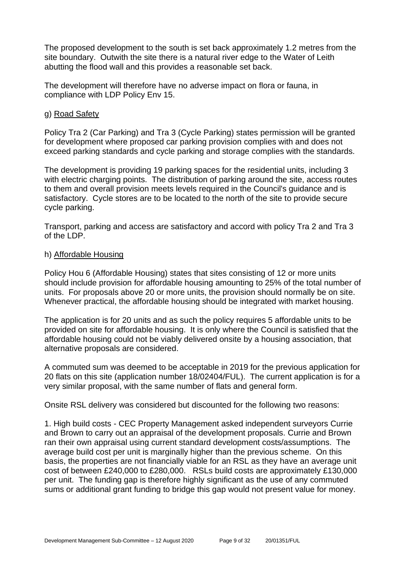The proposed development to the south is set back approximately 1.2 metres from the site boundary. Outwith the site there is a natural river edge to the Water of Leith abutting the flood wall and this provides a reasonable set back.

The development will therefore have no adverse impact on flora or fauna, in compliance with LDP Policy Env 15.

# g) Road Safety

Policy Tra 2 (Car Parking) and Tra 3 (Cycle Parking) states permission will be granted for development where proposed car parking provision complies with and does not exceed parking standards and cycle parking and storage complies with the standards.

The development is providing 19 parking spaces for the residential units, including 3 with electric charging points. The distribution of parking around the site, access routes to them and overall provision meets levels required in the Council's guidance and is satisfactory. Cycle stores are to be located to the north of the site to provide secure cycle parking.

Transport, parking and access are satisfactory and accord with policy Tra 2 and Tra 3 of the LDP.

#### h) Affordable Housing

Policy Hou 6 (Affordable Housing) states that sites consisting of 12 or more units should include provision for affordable housing amounting to 25% of the total number of units. For proposals above 20 or more units, the provision should normally be on site. Whenever practical, the affordable housing should be integrated with market housing.

The application is for 20 units and as such the policy requires 5 affordable units to be provided on site for affordable housing. It is only where the Council is satisfied that the affordable housing could not be viably delivered onsite by a housing association, that alternative proposals are considered.

A commuted sum was deemed to be acceptable in 2019 for the previous application for 20 flats on this site (application number 18/02404/FUL). The current application is for a very similar proposal, with the same number of flats and general form.

Onsite RSL delivery was considered but discounted for the following two reasons:

1. High build costs - CEC Property Management asked independent surveyors Currie and Brown to carry out an appraisal of the development proposals. Currie and Brown ran their own appraisal using current standard development costs/assumptions. The average build cost per unit is marginally higher than the previous scheme. On this basis, the properties are not financially viable for an RSL as they have an average unit cost of between £240,000 to £280,000. RSLs build costs are approximately £130,000 per unit. The funding gap is therefore highly significant as the use of any commuted sums or additional grant funding to bridge this gap would not present value for money.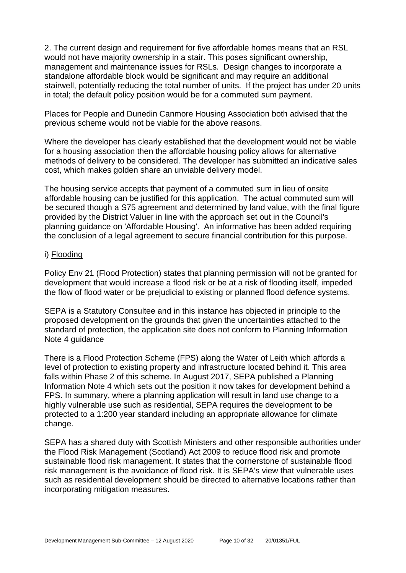2. The current design and requirement for five affordable homes means that an RSL would not have majority ownership in a stair. This poses significant ownership, management and maintenance issues for RSLs. Design changes to incorporate a standalone affordable block would be significant and may require an additional stairwell, potentially reducing the total number of units. If the project has under 20 units in total; the default policy position would be for a commuted sum payment.

Places for People and Dunedin Canmore Housing Association both advised that the previous scheme would not be viable for the above reasons.

Where the developer has clearly established that the development would not be viable for a housing association then the affordable housing policy allows for alternative methods of delivery to be considered. The developer has submitted an indicative sales cost, which makes golden share an unviable delivery model.

The housing service accepts that payment of a commuted sum in lieu of onsite affordable housing can be justified for this application. The actual commuted sum will be secured though a S75 agreement and determined by land value, with the final figure provided by the District Valuer in line with the approach set out in the Council's planning guidance on 'Affordable Housing'. An informative has been added requiring the conclusion of a legal agreement to secure financial contribution for this purpose.

#### i) Flooding

Policy Env 21 (Flood Protection) states that planning permission will not be granted for development that would increase a flood risk or be at a risk of flooding itself, impeded the flow of flood water or be prejudicial to existing or planned flood defence systems.

SEPA is a Statutory Consultee and in this instance has objected in principle to the proposed development on the grounds that given the uncertainties attached to the standard of protection, the application site does not conform to Planning Information Note 4 guidance

There is a Flood Protection Scheme (FPS) along the Water of Leith which affords a level of protection to existing property and infrastructure located behind it. This area falls within Phase 2 of this scheme. In August 2017, SEPA published a Planning Information Note 4 which sets out the position it now takes for development behind a FPS. In summary, where a planning application will result in land use change to a highly vulnerable use such as residential, SEPA requires the development to be protected to a 1:200 year standard including an appropriate allowance for climate change.

SEPA has a shared duty with Scottish Ministers and other responsible authorities under the Flood Risk Management (Scotland) Act 2009 to reduce flood risk and promote sustainable flood risk management. It states that the cornerstone of sustainable flood risk management is the avoidance of flood risk. It is SEPA's view that vulnerable uses such as residential development should be directed to alternative locations rather than incorporating mitigation measures.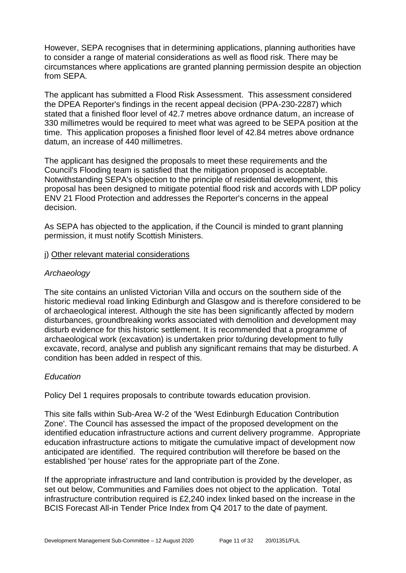However, SEPA recognises that in determining applications, planning authorities have to consider a range of material considerations as well as flood risk. There may be circumstances where applications are granted planning permission despite an objection from SEPA.

The applicant has submitted a Flood Risk Assessment. This assessment considered the DPEA Reporter's findings in the recent appeal decision (PPA-230-2287) which stated that a finished floor level of 42.7 metres above ordnance datum, an increase of 330 millimetres would be required to meet what was agreed to be SEPA position at the time. This application proposes a finished floor level of 42.84 metres above ordnance datum, an increase of 440 millimetres.

The applicant has designed the proposals to meet these requirements and the Council's Flooding team is satisfied that the mitigation proposed is acceptable. Notwithstanding SEPA's objection to the principle of residential development, this proposal has been designed to mitigate potential flood risk and accords with LDP policy ENV 21 Flood Protection and addresses the Reporter's concerns in the appeal decision.

As SEPA has objected to the application, if the Council is minded to grant planning permission, it must notify Scottish Ministers.

#### j) Other relevant material considerations

# *Archaeology*

The site contains an unlisted Victorian Villa and occurs on the southern side of the historic medieval road linking Edinburgh and Glasgow and is therefore considered to be of archaeological interest. Although the site has been significantly affected by modern disturbances, groundbreaking works associated with demolition and development may disturb evidence for this historic settlement. It is recommended that a programme of archaeological work (excavation) is undertaken prior to/during development to fully excavate, record, analyse and publish any significant remains that may be disturbed. A condition has been added in respect of this.

# *Education*

Policy Del 1 requires proposals to contribute towards education provision.

This site falls within Sub-Area W-2 of the 'West Edinburgh Education Contribution Zone'. The Council has assessed the impact of the proposed development on the identified education infrastructure actions and current delivery programme. Appropriate education infrastructure actions to mitigate the cumulative impact of development now anticipated are identified. The required contribution will therefore be based on the established 'per house' rates for the appropriate part of the Zone.

If the appropriate infrastructure and land contribution is provided by the developer, as set out below, Communities and Families does not object to the application. Total infrastructure contribution required is £2,240 index linked based on the increase in the BCIS Forecast All-in Tender Price Index from Q4 2017 to the date of payment.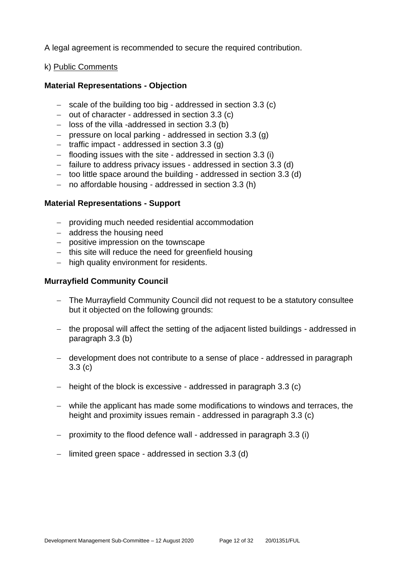A legal agreement is recommended to secure the required contribution.

# k) Public Comments

# **Material Representations - Objection**

- − scale of the building too big addressed in section 3.3 (c)
- − out of character addressed in section 3.3 (c)
- − loss of the villa -addressed in section 3.3 (b)
- − pressure on local parking addressed in section 3.3 (g)
- − traffic impact addressed in section 3.3 (g)
- − flooding issues with the site addressed in section 3.3 (i)
- − failure to address privacy issues addressed in section 3.3 (d)
- − too little space around the building addressed in section 3.3 (d)
- − no affordable housing addressed in section 3.3 (h)

#### **Material Representations - Support**

- − providing much needed residential accommodation
- − address the housing need
- − positive impression on the townscape
- − this site will reduce the need for greenfield housing
- − high quality environment for residents.

#### **Murrayfield Community Council**

- − The Murrayfield Community Council did not request to be a statutory consultee but it objected on the following grounds:
- − the proposal will affect the setting of the adjacent listed buildings addressed in paragraph 3.3 (b)
- − development does not contribute to a sense of place addressed in paragraph 3.3 (c)
- − height of the block is excessive addressed in paragraph 3.3 (c)
- − while the applicant has made some modifications to windows and terraces, the height and proximity issues remain - addressed in paragraph 3.3 (c)
- − proximity to the flood defence wall addressed in paragraph 3.3 (i)
- − limited green space addressed in section 3.3 (d)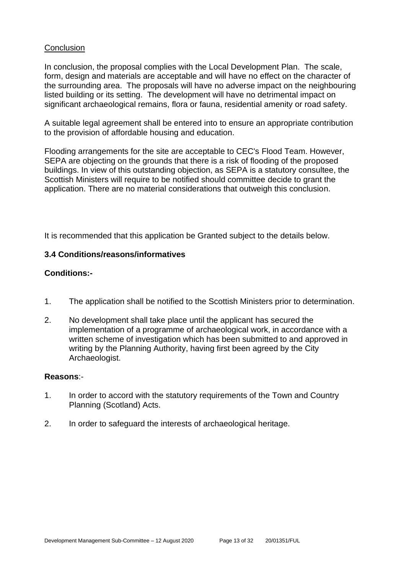#### **Conclusion**

In conclusion, the proposal complies with the Local Development Plan. The scale, form, design and materials are acceptable and will have no effect on the character of the surrounding area. The proposals will have no adverse impact on the neighbouring listed building or its setting. The development will have no detrimental impact on significant archaeological remains, flora or fauna, residential amenity or road safety.

A suitable legal agreement shall be entered into to ensure an appropriate contribution to the provision of affordable housing and education.

Flooding arrangements for the site are acceptable to CEC's Flood Team. However, SEPA are objecting on the grounds that there is a risk of flooding of the proposed buildings. In view of this outstanding objection, as SEPA is a statutory consultee, the Scottish Ministers will require to be notified should committee decide to grant the application. There are no material considerations that outweigh this conclusion.

It is recommended that this application be Granted subject to the details below.

# **3.4 Conditions/reasons/informatives**

# **Conditions:-**

- 1. The application shall be notified to the Scottish Ministers prior to determination.
- 2. No development shall take place until the applicant has secured the implementation of a programme of archaeological work, in accordance with a written scheme of investigation which has been submitted to and approved in writing by the Planning Authority, having first been agreed by the City Archaeologist.

#### **Reasons**:-

- 1. In order to accord with the statutory requirements of the Town and Country Planning (Scotland) Acts.
- 2. In order to safeguard the interests of archaeological heritage.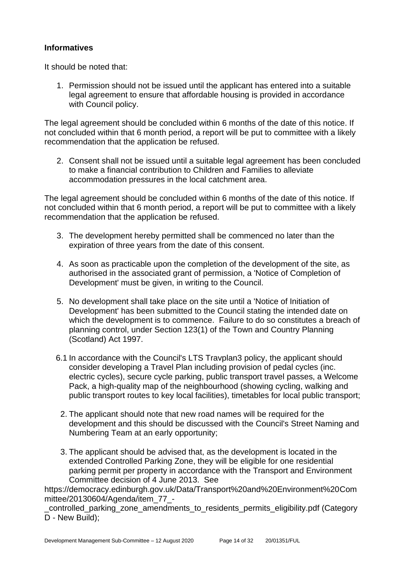# **Informatives**

It should be noted that:

1. Permission should not be issued until the applicant has entered into a suitable legal agreement to ensure that affordable housing is provided in accordance with Council policy.

The legal agreement should be concluded within 6 months of the date of this notice. If not concluded within that 6 month period, a report will be put to committee with a likely recommendation that the application be refused.

2. Consent shall not be issued until a suitable legal agreement has been concluded to make a financial contribution to Children and Families to alleviate accommodation pressures in the local catchment area.

The legal agreement should be concluded within 6 months of the date of this notice. If not concluded within that 6 month period, a report will be put to committee with a likely recommendation that the application be refused.

- 3. The development hereby permitted shall be commenced no later than the expiration of three years from the date of this consent.
- 4. As soon as practicable upon the completion of the development of the site, as authorised in the associated grant of permission, a 'Notice of Completion of Development' must be given, in writing to the Council.
- 5. No development shall take place on the site until a 'Notice of Initiation of Development' has been submitted to the Council stating the intended date on which the development is to commence. Failure to do so constitutes a breach of planning control, under Section 123(1) of the Town and Country Planning (Scotland) Act 1997.
- 6.1 In accordance with the Council's LTS Travplan3 policy, the applicant should consider developing a Travel Plan including provision of pedal cycles (inc. electric cycles), secure cycle parking, public transport travel passes, a Welcome Pack, a high-quality map of the neighbourhood (showing cycling, walking and public transport routes to key local facilities), timetables for local public transport;
	- 2. The applicant should note that new road names will be required for the development and this should be discussed with the Council's Street Naming and Numbering Team at an early opportunity;
	- 3. The applicant should be advised that, as the development is located in the extended Controlled Parking Zone, they will be eligible for one residential parking permit per property in accordance with the Transport and Environment Committee decision of 4 June 2013. See

https://democracy.edinburgh.gov.uk/Data/Transport%20and%20Environment%20Com mittee/20130604/Agenda/item\_77\_-

controlled parking zone amendments to residents permits eligibility.pdf (Category D - New Build);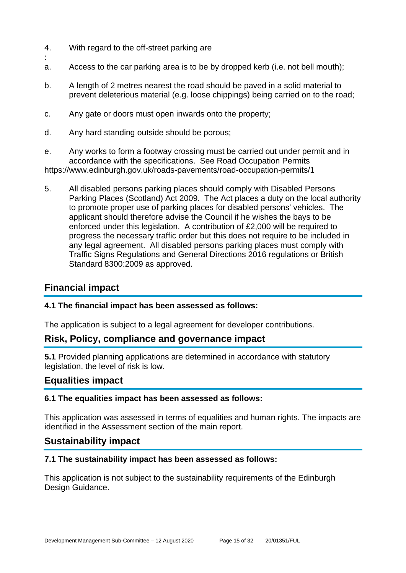- 4. With regard to the off-street parking are
- : a. Access to the car parking area is to be by dropped kerb (i.e. not bell mouth);
- b. A length of 2 metres nearest the road should be paved in a solid material to prevent deleterious material (e.g. loose chippings) being carried on to the road;
- c. Any gate or doors must open inwards onto the property;
- d. Any hard standing outside should be porous;
- e. Any works to form a footway crossing must be carried out under permit and in accordance with the specifications. See Road Occupation Permits https://www.edinburgh.gov.uk/roads-pavements/road-occupation-permits/1
- 5. All disabled persons parking places should comply with Disabled Persons Parking Places (Scotland) Act 2009. The Act places a duty on the local authority to promote proper use of parking places for disabled persons' vehicles. The applicant should therefore advise the Council if he wishes the bays to be enforced under this legislation. A contribution of £2,000 will be required to progress the necessary traffic order but this does not require to be included in any legal agreement. All disabled persons parking places must comply with Traffic Signs Regulations and General Directions 2016 regulations or British Standard 8300:2009 as approved.

# **Financial impact**

# **4.1 The financial impact has been assessed as follows:**

The application is subject to a legal agreement for developer contributions.

# **Risk, Policy, compliance and governance impact**

**5.1** Provided planning applications are determined in accordance with statutory legislation, the level of risk is low.

# **Equalities impact**

# **6.1 The equalities impact has been assessed as follows:**

This application was assessed in terms of equalities and human rights. The impacts are identified in the Assessment section of the main report.

# **Sustainability impact**

# **7.1 The sustainability impact has been assessed as follows:**

This application is not subject to the sustainability requirements of the Edinburgh Design Guidance.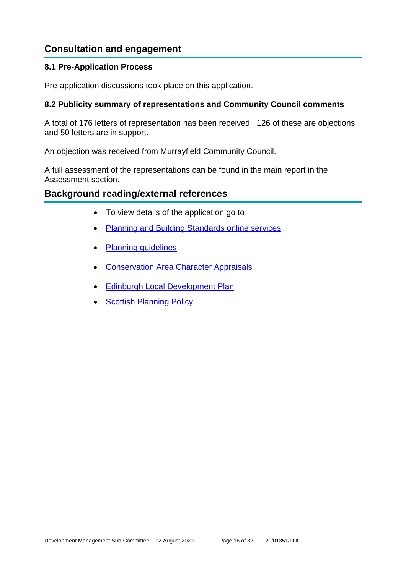# **Consultation and engagement**

# **8.1 Pre-Application Process**

Pre-application discussions took place on this application.

# **8.2 Publicity summary of representations and Community Council comments**

A total of 176 letters of representation has been received. 126 of these are objections and 50 letters are in support.

An objection was received from Murrayfield Community Council.

A full assessment of the representations can be found in the main report in the Assessment section.

# **Background reading/external references**

- To view details of the application go to
- [Planning and Building Standards online services](https://citydev-portal.edinburgh.gov.uk/idoxpa-web/search.do?action=simple&searchType=Application)
- [Planning guidelines](http://www.edinburgh.gov.uk/planningguidelines)
- [Conservation Area Character Appraisals](http://www.edinburgh.gov.uk/characterappraisals)
- [Edinburgh Local Development Plan](http://www.edinburgh.gov.uk/localdevelopmentplan)
- [Scottish Planning Policy](http://www.scotland.gov.uk/Topics/Built-Environment/planning/Policy)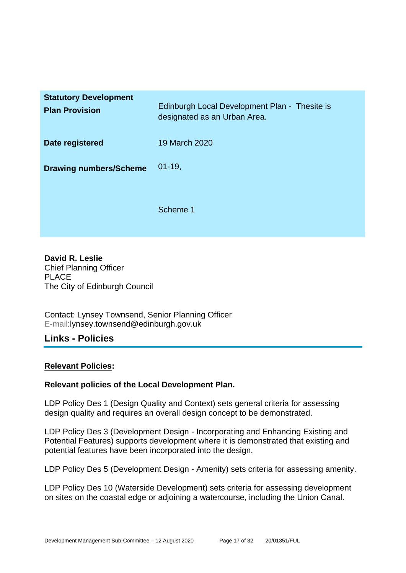| <b>Statutory Development</b><br><b>Plan Provision</b> | Edinburgh Local Development Plan - Thesite is<br>designated as an Urban Area. |
|-------------------------------------------------------|-------------------------------------------------------------------------------|
| Date registered                                       | 19 March 2020                                                                 |
| <b>Drawing numbers/Scheme</b>                         | $01-19,$                                                                      |
|                                                       | Scheme 1                                                                      |

**David R. Leslie** Chief Planning Officer PLACE The City of Edinburgh Council

Contact: Lynsey Townsend, Senior Planning Officer E-mail:lynsey.townsend@edinburgh.gov.uk

# **Links - Policies**

# **Relevant Policies:**

# **Relevant policies of the Local Development Plan.**

LDP Policy Des 1 (Design Quality and Context) sets general criteria for assessing design quality and requires an overall design concept to be demonstrated.

LDP Policy Des 3 (Development Design - Incorporating and Enhancing Existing and Potential Features) supports development where it is demonstrated that existing and potential features have been incorporated into the design.

LDP Policy Des 5 (Development Design - Amenity) sets criteria for assessing amenity.

LDP Policy Des 10 (Waterside Development) sets criteria for assessing development on sites on the coastal edge or adjoining a watercourse, including the Union Canal.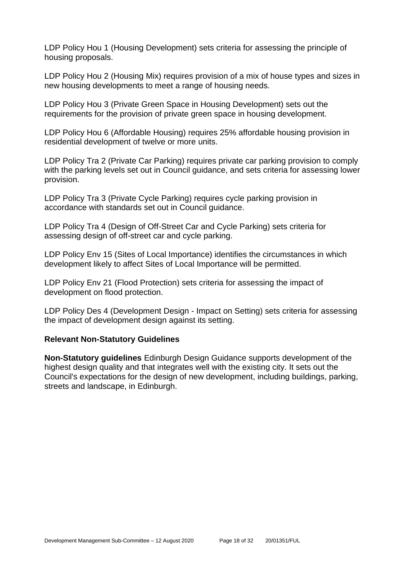LDP Policy Hou 1 (Housing Development) sets criteria for assessing the principle of housing proposals.

LDP Policy Hou 2 (Housing Mix) requires provision of a mix of house types and sizes in new housing developments to meet a range of housing needs.

LDP Policy Hou 3 (Private Green Space in Housing Development) sets out the requirements for the provision of private green space in housing development.

LDP Policy Hou 6 (Affordable Housing) requires 25% affordable housing provision in residential development of twelve or more units.

LDP Policy Tra 2 (Private Car Parking) requires private car parking provision to comply with the parking levels set out in Council guidance, and sets criteria for assessing lower provision.

LDP Policy Tra 3 (Private Cycle Parking) requires cycle parking provision in accordance with standards set out in Council guidance.

LDP Policy Tra 4 (Design of Off-Street Car and Cycle Parking) sets criteria for assessing design of off-street car and cycle parking.

LDP Policy Env 15 (Sites of Local Importance) identifies the circumstances in which development likely to affect Sites of Local Importance will be permitted.

LDP Policy Env 21 (Flood Protection) sets criteria for assessing the impact of development on flood protection.

LDP Policy Des 4 (Development Design - Impact on Setting) sets criteria for assessing the impact of development design against its setting.

#### **Relevant Non-Statutory Guidelines**

**Non-Statutory guidelines** Edinburgh Design Guidance supports development of the highest design quality and that integrates well with the existing city. It sets out the Council's expectations for the design of new development, including buildings, parking, streets and landscape, in Edinburgh.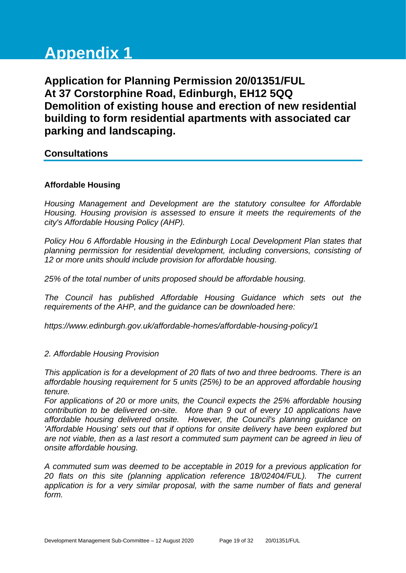# **Appendix 1**

**Application for Planning Permission 20/01351/FUL At 37 Corstorphine Road, Edinburgh, EH12 5QQ Demolition of existing house and erection of new residential building to form residential apartments with associated car parking and landscaping.**

**Consultations**

# **Affordable Housing**

*Housing Management and Development are the statutory consultee for Affordable Housing. Housing provision is assessed to ensure it meets the requirements of the city's Affordable Housing Policy (AHP).*

*Policy Hou 6 Affordable Housing in the Edinburgh Local Development Plan states that planning permission for residential development, including conversions, consisting of 12 or more units should include provision for affordable housing.* 

*25% of the total number of units proposed should be affordable housing.* 

*The Council has published Affordable Housing Guidance which sets out the requirements of the AHP, and the guidance can be downloaded here:*

*https://www.edinburgh.gov.uk/affordable-homes/affordable-housing-policy/1*

# *2. Affordable Housing Provision*

*This application is for a development of 20 flats of two and three bedrooms. There is an affordable housing requirement for 5 units (25%) to be an approved affordable housing tenure.* 

*For applications of 20 or more units, the Council expects the 25% affordable housing contribution to be delivered on-site. More than 9 out of every 10 applications have affordable housing delivered onsite. However, the Council's planning guidance on 'Affordable Housing' sets out that if options for onsite delivery have been explored but are not viable, then as a last resort a commuted sum payment can be agreed in lieu of onsite affordable housing.*

*A commuted sum was deemed to be acceptable in 2019 for a previous application for 20 flats on this site (planning application reference 18/02404/FUL). The current application is for a very similar proposal, with the same number of flats and general form.*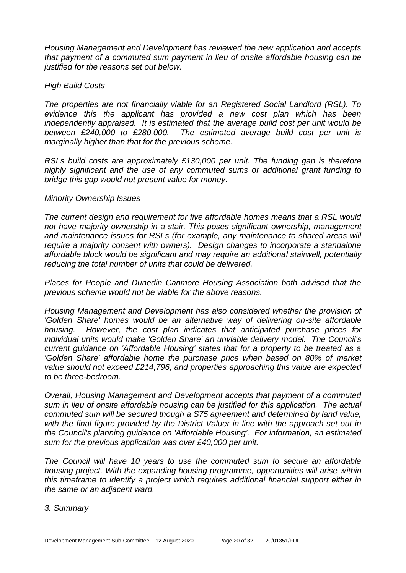*Housing Management and Development has reviewed the new application and accepts that payment of a commuted sum payment in lieu of onsite affordable housing can be justified for the reasons set out below.*

#### *High Build Costs*

*The properties are not financially viable for an Registered Social Landlord (RSL). To evidence this the applicant has provided a new cost plan which has been independently appraised. It is estimated that the average build cost per unit would be between £240,000 to £280,000. The estimated average build cost per unit is marginally higher than that for the previous scheme.*

*RSLs build costs are approximately £130,000 per unit. The funding gap is therefore highly significant and the use of any commuted sums or additional grant funding to bridge this gap would not present value for money.*

#### *Minority Ownership Issues*

*The current design and requirement for five affordable homes means that a RSL would not have majority ownership in a stair. This poses significant ownership, management and maintenance issues for RSLs (for example, any maintenance to shared areas will require a majority consent with owners). Design changes to incorporate a standalone affordable block would be significant and may require an additional stairwell, potentially reducing the total number of units that could be delivered.*

*Places for People and Dunedin Canmore Housing Association both advised that the previous scheme would not be viable for the above reasons.*

*Housing Management and Development has also considered whether the provision of 'Golden Share' homes would be an alternative way of delivering on-site affordable housing. However, the cost plan indicates that anticipated purchase prices for individual units would make 'Golden Share' an unviable delivery model. The Council's current guidance on 'Affordable Housing' states that for a property to be treated as a 'Golden Share' affordable home the purchase price when based on 80% of market value should not exceed £214,796, and properties approaching this value are expected to be three-bedroom.*

*Overall, Housing Management and Development accepts that payment of a commuted sum in lieu of onsite affordable housing can be justified for this application. The actual commuted sum will be secured though a S75 agreement and determined by land value,*  with the final figure provided by the District Valuer in line with the approach set out in *the Council's planning guidance on 'Affordable Housing'. For information, an estimated sum for the previous application was over £40,000 per unit.*

*The Council will have 10 years to use the commuted sum to secure an affordable housing project. With the expanding housing programme, opportunities will arise within this timeframe to identify a project which requires additional financial support either in the same or an adjacent ward.*

#### *3. Summary*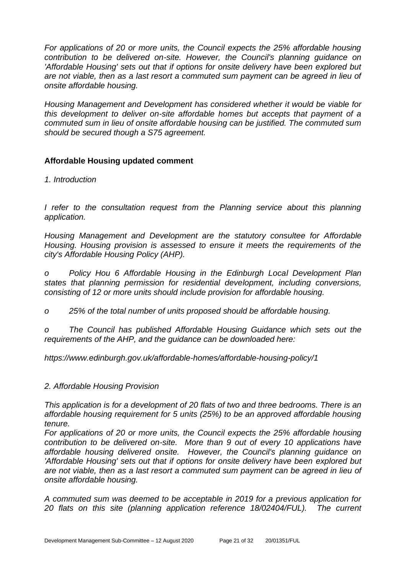*For applications of 20 or more units, the Council expects the 25% affordable housing contribution to be delivered on-site. However, the Council's planning guidance on 'Affordable Housing' sets out that if options for onsite delivery have been explored but are not viable, then as a last resort a commuted sum payment can be agreed in lieu of onsite affordable housing.*

*Housing Management and Development has considered whether it would be viable for this development to deliver on-site affordable homes but accepts that payment of a commuted sum in lieu of onsite affordable housing can be justified. The commuted sum should be secured though a S75 agreement.*

# **Affordable Housing updated comment**

*1. Introduction*

*I* refer to the consultation request from the Planning service about this planning *application.*

*Housing Management and Development are the statutory consultee for Affordable Housing. Housing provision is assessed to ensure it meets the requirements of the city's Affordable Housing Policy (AHP).*

*o Policy Hou 6 Affordable Housing in the Edinburgh Local Development Plan states that planning permission for residential development, including conversions, consisting of 12 or more units should include provision for affordable housing.* 

*o 25% of the total number of units proposed should be affordable housing.* 

*o The Council has published Affordable Housing Guidance which sets out the requirements of the AHP, and the guidance can be downloaded here:*

*https://www.edinburgh.gov.uk/affordable-homes/affordable-housing-policy/1*

# *2. Affordable Housing Provision*

*This application is for a development of 20 flats of two and three bedrooms. There is an affordable housing requirement for 5 units (25%) to be an approved affordable housing tenure.* 

*For applications of 20 or more units, the Council expects the 25% affordable housing contribution to be delivered on-site. More than 9 out of every 10 applications have affordable housing delivered onsite. However, the Council's planning guidance on 'Affordable Housing' sets out that if options for onsite delivery have been explored but are not viable, then as a last resort a commuted sum payment can be agreed in lieu of onsite affordable housing.*

*A commuted sum was deemed to be acceptable in 2019 for a previous application for 20 flats on this site (planning application reference 18/02404/FUL). The current*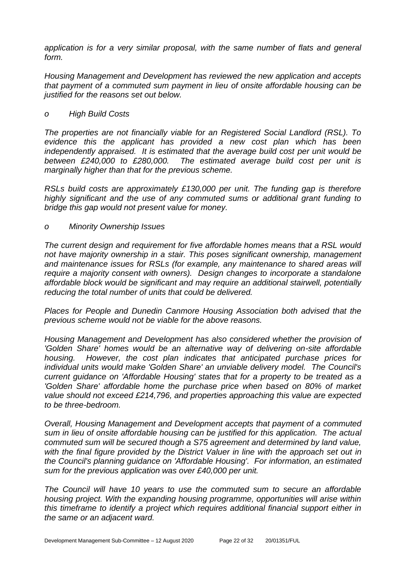*application is for a very similar proposal, with the same number of flats and general form.*

*Housing Management and Development has reviewed the new application and accepts that payment of a commuted sum payment in lieu of onsite affordable housing can be justified for the reasons set out below.*

#### *o High Build Costs*

*The properties are not financially viable for an Registered Social Landlord (RSL). To evidence this the applicant has provided a new cost plan which has been independently appraised. It is estimated that the average build cost per unit would be between £240,000 to £280,000. The estimated average build cost per unit is marginally higher than that for the previous scheme.*

*RSLs build costs are approximately £130,000 per unit. The funding gap is therefore highly significant and the use of any commuted sums or additional grant funding to bridge this gap would not present value for money.*

#### *o Minority Ownership Issues*

*The current design and requirement for five affordable homes means that a RSL would not have majority ownership in a stair. This poses significant ownership, management and maintenance issues for RSLs (for example, any maintenance to shared areas will require a majority consent with owners). Design changes to incorporate a standalone affordable block would be significant and may require an additional stairwell, potentially reducing the total number of units that could be delivered.*

*Places for People and Dunedin Canmore Housing Association both advised that the previous scheme would not be viable for the above reasons.*

*Housing Management and Development has also considered whether the provision of 'Golden Share' homes would be an alternative way of delivering on-site affordable housing. However, the cost plan indicates that anticipated purchase prices for individual units would make 'Golden Share' an unviable delivery model. The Council's current guidance on 'Affordable Housing' states that for a property to be treated as a 'Golden Share' affordable home the purchase price when based on 80% of market value should not exceed £214,796, and properties approaching this value are expected to be three-bedroom.*

*Overall, Housing Management and Development accepts that payment of a commuted sum in lieu of onsite affordable housing can be justified for this application. The actual commuted sum will be secured though a S75 agreement and determined by land value, with the final figure provided by the District Valuer in line with the approach set out in the Council's planning guidance on 'Affordable Housing'. For information, an estimated sum for the previous application was over £40,000 per unit.*

*The Council will have 10 years to use the commuted sum to secure an affordable housing project. With the expanding housing programme, opportunities will arise within this timeframe to identify a project which requires additional financial support either in the same or an adjacent ward.*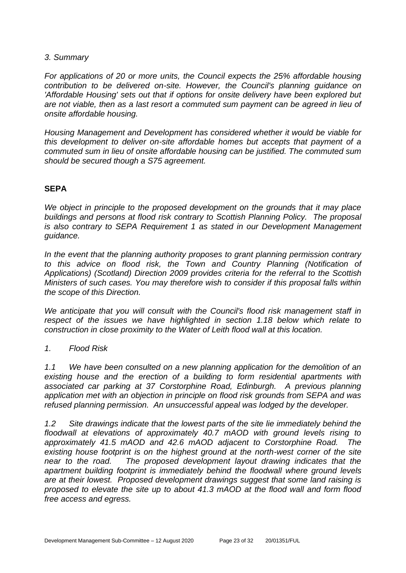#### *3. Summary*

*For applications of 20 or more units, the Council expects the 25% affordable housing contribution to be delivered on-site. However, the Council's planning guidance on 'Affordable Housing' sets out that if options for onsite delivery have been explored but are not viable, then as a last resort a commuted sum payment can be agreed in lieu of onsite affordable housing.*

*Housing Management and Development has considered whether it would be viable for this development to deliver on-site affordable homes but accepts that payment of a commuted sum in lieu of onsite affordable housing can be justified. The commuted sum should be secured though a S75 agreement.*

# **SEPA**

*We object in principle to the proposed development on the grounds that it may place buildings and persons at flood risk contrary to Scottish Planning Policy. The proposal is also contrary to SEPA Requirement 1 as stated in our Development Management guidance.*

*In the event that the planning authority proposes to grant planning permission contrary to this advice on flood risk, the Town and Country Planning (Notification of Applications) (Scotland) Direction 2009 provides criteria for the referral to the Scottish Ministers of such cases. You may therefore wish to consider if this proposal falls within the scope of this Direction.*

*We anticipate that you will consult with the Council's flood risk management staff in respect of the issues we have highlighted in section 1.18 below which relate to construction in close proximity to the Water of Leith flood wall at this location.*

# *1. Flood Risk*

*1.1 We have been consulted on a new planning application for the demolition of an existing house and the erection of a building to form residential apartments with associated car parking at 37 Corstorphine Road, Edinburgh. A previous planning application met with an objection in principle on flood risk grounds from SEPA and was refused planning permission. An unsuccessful appeal was lodged by the developer.*

*1.2 Site drawings indicate that the lowest parts of the site lie immediately behind the floodwall at elevations of approximately 40.7 mAOD with ground levels rising to approximately 41.5 mAOD and 42.6 mAOD adjacent to Corstorphine Road. The existing house footprint is on the highest ground at the north-west corner of the site near to the road. The proposed development layout drawing indicates that the apartment building footprint is immediately behind the floodwall where ground levels are at their lowest. Proposed development drawings suggest that some land raising is proposed to elevate the site up to about 41.3 mAOD at the flood wall and form flood free access and egress.*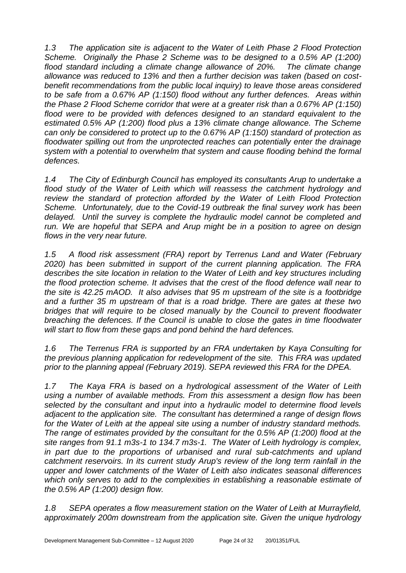*1.3 The application site is adjacent to the Water of Leith Phase 2 Flood Protection Scheme. Originally the Phase 2 Scheme was to be designed to a 0.5% AP (1:200) flood standard including a climate change allowance of 20%. The climate change allowance was reduced to 13% and then a further decision was taken (based on costbenefit recommendations from the public local inquiry) to leave those areas considered to be safe from a 0.67% AP (1:150) flood without any further defences. Areas within the Phase 2 Flood Scheme corridor that were at a greater risk than a 0.67% AP (1:150) flood were to be provided with defences designed to an standard equivalent to the estimated 0.5% AP (1:200) flood plus a 13% climate change allowance. The Scheme can only be considered to protect up to the 0.67% AP (1:150) standard of protection as floodwater spilling out from the unprotected reaches can potentially enter the drainage system with a potential to overwhelm that system and cause flooding behind the formal defences.*

*1.4 The City of Edinburgh Council has employed its consultants Arup to undertake a flood study of the Water of Leith which will reassess the catchment hydrology and review the standard of protection afforded by the Water of Leith Flood Protection Scheme. Unfortunately, due to the Covid-19 outbreak the final survey work has been delayed. Until the survey is complete the hydraulic model cannot be completed and run. We are hopeful that SEPA and Arup might be in a position to agree on design flows in the very near future.*

*1.5 A flood risk assessment (FRA) report by Terrenus Land and Water (February 2020) has been submitted in support of the current planning application. The FRA describes the site location in relation to the Water of Leith and key structures including the flood protection scheme. It advises that the crest of the flood defence wall near to the site is 42.25 mAOD. It also advises that 95 m upstream of the site is a footbridge and a further 35 m upstream of that is a road bridge. There are gates at these two bridges that will require to be closed manually by the Council to prevent floodwater breaching the defences. If the Council is unable to close the gates in time floodwater will start to flow from these gaps and pond behind the hard defences.* 

*1.6 The Terrenus FRA is supported by an FRA undertaken by Kaya Consulting for the previous planning application for redevelopment of the site. This FRA was updated prior to the planning appeal (February 2019). SEPA reviewed this FRA for the DPEA.*

*1.7 The Kaya FRA is based on a hydrological assessment of the Water of Leith using a number of available methods. From this assessment a design flow has been selected by the consultant and input into a hydraulic model to determine flood levels adjacent to the application site. The consultant has determined a range of design flows for the Water of Leith at the appeal site using a number of industry standard methods. The range of estimates provided by the consultant for the 0.5% AP (1:200) flood at the site ranges from 91.1 m3s-1 to 134.7 m3s-1. The Water of Leith hydrology is complex, in part due to the proportions of urbanised and rural sub-catchments and upland catchment reservoirs. In its current study Arup's review of the long term rainfall in the upper and lower catchments of the Water of Leith also indicates seasonal differences which only serves to add to the complexities in establishing a reasonable estimate of the 0.5% AP (1:200) design flow.* 

*1.8 SEPA operates a flow measurement station on the Water of Leith at Murrayfield, approximately 200m downstream from the application site. Given the unique hydrology*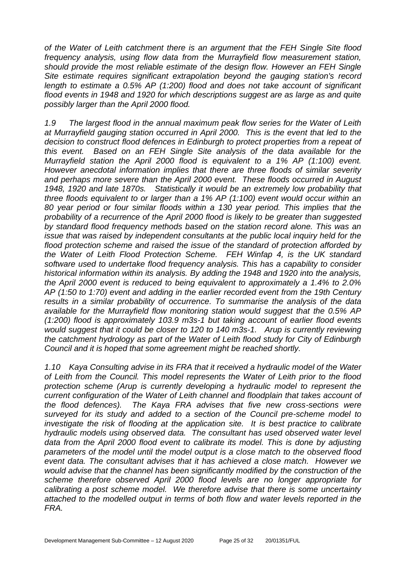*of the Water of Leith catchment there is an argument that the FEH Single Site flood frequency analysis, using flow data from the Murrayfield flow measurement station, should provide the most reliable estimate of the design flow. However an FEH Single Site estimate requires significant extrapolation beyond the gauging station's record length to estimate a 0.5% AP (1:200) flood and does not take account of significant flood events in 1948 and 1920 for which descriptions suggest are as large as and quite possibly larger than the April 2000 flood.*

*1.9 The largest flood in the annual maximum peak flow series for the Water of Leith at Murrayfield gauging station occurred in April 2000. This is the event that led to the decision to construct flood defences in Edinburgh to protect properties from a repeat of this event. Based on an FEH Single Site analysis of the data available for the Murrayfield station the April 2000 flood is equivalent to a 1% AP (1:100) event. However anecdotal information implies that there are three floods of similar severity and perhaps more severe than the April 2000 event. These floods occurred in August 1948, 1920 and late 1870s. Statistically it would be an extremely low probability that three floods equivalent to or larger than a 1% AP (1:100) event would occur within an 80 year period or four similar floods within a 130 year period. This implies that the probability of a recurrence of the April 2000 flood is likely to be greater than suggested by standard flood frequency methods based on the station record alone. This was an issue that was raised by independent consultants at the public local inquiry held for the flood protection scheme and raised the issue of the standard of protection afforded by the Water of Leith Flood Protection Scheme. FEH Winfap 4, is the UK standard software used to undertake flood frequency analysis. This has a capability to consider historical information within its analysis. By adding the 1948 and 1920 into the analysis, the April 2000 event is reduced to being equivalent to approximately a 1.4% to 2.0% AP (1:50 to 1:70) event and adding in the earlier recorded event from the 19th Century results in a similar probability of occurrence. To summarise the analysis of the data available for the Murrayfield flow monitoring station would suggest that the 0.5% AP (1:200) flood is approximately 103.9 m3s-1 but taking account of earlier flood events would suggest that it could be closer to 120 to 140 m3s-1. Arup is currently reviewing the catchment hydrology as part of the Water of Leith flood study for City of Edinburgh Council and it is hoped that some agreement might be reached shortly.*

*1.10 Kaya Consulting advise in its FRA that it received a hydraulic model of the Water of Leith from the Council. This model represents the Water of Leith prior to the flood protection scheme (Arup is currently developing a hydraulic model to represent the current configuration of the Water of Leith channel and floodplain that takes account of the flood defences). The Kaya FRA advises that five new cross-sections were surveyed for its study and added to a section of the Council pre-scheme model to investigate the risk of flooding at the application site. It is best practice to calibrate hydraulic models using observed data. The consultant has used observed water level*  data from the April 2000 flood event to calibrate its model. This is done by adjusting *parameters of the model until the model output is a close match to the observed flood event data. The consultant advises that it has achieved a close match. However we would advise that the channel has been significantly modified by the construction of the scheme therefore observed April 2000 flood levels are no longer appropriate for calibrating a post scheme model. We therefore advise that there is some uncertainty attached to the modelled output in terms of both flow and water levels reported in the FRA.*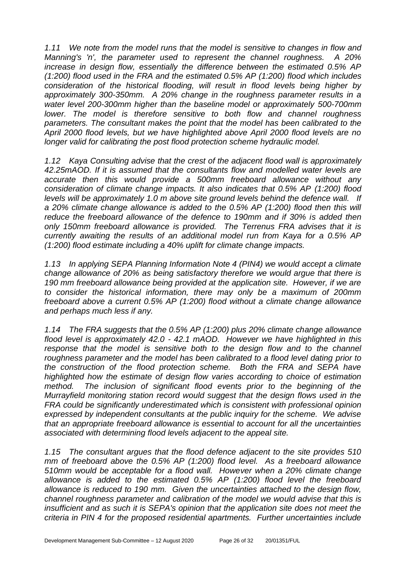*1.11 We note from the model runs that the model is sensitive to changes in flow and Manning's 'n', the parameter used to represent the channel roughness. A 20% increase in design flow, essentially the difference between the estimated 0.5% AP (1:200) flood used in the FRA and the estimated 0.5% AP (1:200) flood which includes consideration of the historical flooding, will result in flood levels being higher by approximately 300-350mm. A 20% change in the roughness parameter results in a water level 200-300mm higher than the baseline model or approximately 500-700mm lower. The model is therefore sensitive to both flow and channel roughness parameters. The consultant makes the point that the model has been calibrated to the April 2000 flood levels, but we have highlighted above April 2000 flood levels are no longer valid for calibrating the post flood protection scheme hydraulic model.*

*1.12 Kaya Consulting advise that the crest of the adjacent flood wall is approximately 42.25mAOD. If it is assumed that the consultants flow and modelled water levels are accurate then this would provide a 500mm freeboard allowance without any consideration of climate change impacts. It also indicates that 0.5% AP (1:200) flood levels will be approximately 1.0 m above site ground levels behind the defence wall. If a 20% climate change allowance is added to the 0.5% AP (1:200) flood then this will reduce the freeboard allowance of the defence to 190mm and if 30% is added then only 150mm freeboard allowance is provided. The Terrenus FRA advises that it is currently awaiting the results of an additional model run from Kaya for a 0.5% AP (1:200) flood estimate including a 40% uplift for climate change impacts.*

*1.13 In applying SEPA Planning Information Note 4 (PIN4) we would accept a climate change allowance of 20% as being satisfactory therefore we would argue that there is 190 mm freeboard allowance being provided at the application site. However, if we are to consider the historical information, there may only be a maximum of 200mm freeboard above a current 0.5% AP (1:200) flood without a climate change allowance and perhaps much less if any.*

*1.14 The FRA suggests that the 0.5% AP (1:200) plus 20% climate change allowance flood level is approximately 42.0 - 42.1 mAOD. However we have highlighted in this*  response that the model is sensitive both to the design flow and to the channel *roughness parameter and the model has been calibrated to a flood level dating prior to the construction of the flood protection scheme. Both the FRA and SEPA have highlighted how the estimate of design flow varies according to choice of estimation method. The inclusion of significant flood events prior to the beginning of the Murrayfield monitoring station record would suggest that the design flows used in the FRA could be significantly underestimated which is consistent with professional opinion expressed by independent consultants at the public inquiry for the scheme. We advise that an appropriate freeboard allowance is essential to account for all the uncertainties associated with determining flood levels adjacent to the appeal site.* 

*1.15 The consultant argues that the flood defence adjacent to the site provides 510 mm of freeboard above the 0.5% AP (1:200) flood level. As a freeboard allowance 510mm would be acceptable for a flood wall. However when a 20% climate change allowance is added to the estimated 0.5% AP (1:200) flood level the freeboard allowance is reduced to 190 mm. Given the uncertainties attached to the design flow, channel roughness parameter and calibration of the model we would advise that this is insufficient and as such it is SEPA's opinion that the application site does not meet the criteria in PIN 4 for the proposed residential apartments. Further uncertainties include*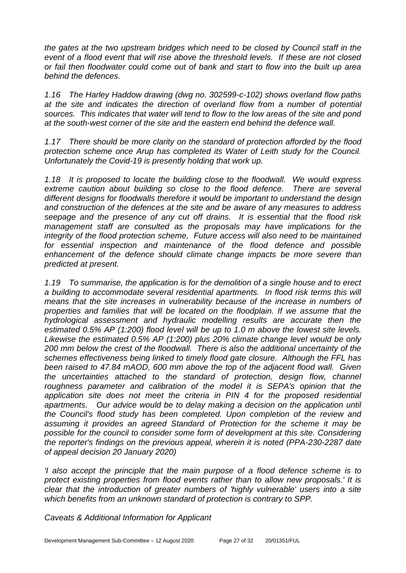*the gates at the two upstream bridges which need to be closed by Council staff in the event of a flood event that will rise above the threshold levels. If these are not closed or fail then floodwater could come out of bank and start to flow into the built up area behind the defences.* 

*1.16 The Harley Haddow drawing (dwg no. 302599-c-102) shows overland flow paths at the site and indicates the direction of overland flow from a number of potential sources. This indicates that water will tend to flow to the low areas of the site and pond at the south-west corner of the site and the eastern end behind the defence wall.* 

*1.17 There should be more clarity on the standard of protection afforded by the flood protection scheme once Arup has completed its Water of Leith study for the Council. Unfortunately the Covid-19 is presently holding that work up.* 

*1.18 It is proposed to locate the building close to the floodwall. We would express extreme caution about building so close to the flood defence. There are several different designs for floodwalls therefore it would be important to understand the design and construction of the defences at the site and be aware of any measures to address seepage and the presence of any cut off drains. It is essential that the flood risk management staff are consulted as the proposals may have implications for the integrity of the flood protection scheme, Future access will also need to be maintained for essential inspection and maintenance of the flood defence and possible enhancement of the defence should climate change impacts be more severe than predicted at present.*

*1.19 To summarise, the application is for the demolition of a single house and to erect a building to accommodate several residential apartments. In flood risk terms this will means that the site increases in vulnerability because of the increase in numbers of properties and families that will be located on the floodplain. If we assume that the hydrological assessment and hydraulic modelling results are accurate then the estimated 0.5% AP (1:200) flood level will be up to 1.0 m above the lowest site levels. Likewise the estimated 0.5% AP (1:200) plus 20% climate change level would be only 200 mm below the crest of the floodwall. There is also the additional uncertainty of the schemes effectiveness being linked to timely flood gate closure. Although the FFL has been raised to 47.84 mAOD, 600 mm above the top of the adjacent flood wall. Given the uncertainties attached to the standard of protection, design flow, channel*  roughness parameter and calibration of the model it is SEPA's opinion that the *application site does not meet the criteria in PIN 4 for the proposed residential apartments. Our advice would be to delay making a decision on the application until the Council's flood study has been completed. Upon completion of the review and assuming it provides an agreed Standard of Protection for the scheme it may be possible for the council to consider some form of development at this site. Considering the reporter's findings on the previous appeal, wherein it is noted (PPA-230-2287 date of appeal decision 20 January 2020)* 

*'I also accept the principle that the main purpose of a flood defence scheme is to protect existing properties from flood events rather than to allow new proposals.' It is clear that the introduction of greater numbers of 'highly vulnerable' users into a site which benefits from an unknown standard of protection is contrary to SPP.*

*Caveats & Additional Information for Applicant*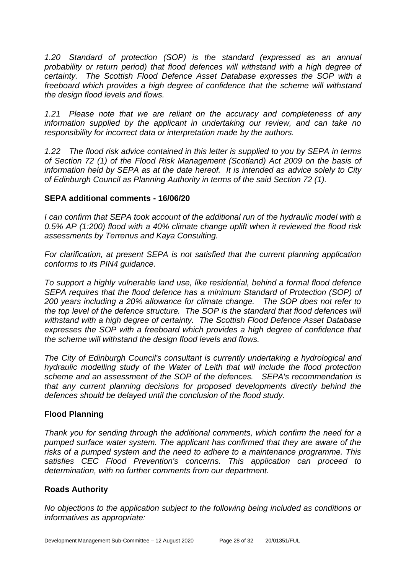*1.20 Standard of protection (SOP) is the standard (expressed as an annual probability or return period) that flood defences will withstand with a high degree of certainty. The Scottish Flood Defence Asset Database expresses the SOP with a freeboard which provides a high degree of confidence that the scheme will withstand the design flood levels and flows.* 

*1.21 Please note that we are reliant on the accuracy and completeness of any information supplied by the applicant in undertaking our review, and can take no responsibility for incorrect data or interpretation made by the authors.*

*1.22 The flood risk advice contained in this letter is supplied to you by SEPA in terms of Section 72 (1) of the Flood Risk Management (Scotland) Act 2009 on the basis of information held by SEPA as at the date hereof. It is intended as advice solely to City of Edinburgh Council as Planning Authority in terms of the said Section 72 (1).*

# **SEPA additional comments - 16/06/20**

*I can confirm that SEPA took account of the additional run of the hydraulic model with a 0.5% AP (1:200) flood with a 40% climate change uplift when it reviewed the flood risk assessments by Terrenus and Kaya Consulting.*

*For clarification, at present SEPA is not satisfied that the current planning application conforms to its PIN4 guidance.* 

*To support a highly vulnerable land use, like residential, behind a formal flood defence SEPA requires that the flood defence has a minimum Standard of Protection (SOP) of 200 years including a 20% allowance for climate change. The SOP does not refer to the top level of the defence structure. The SOP is the standard that flood defences will withstand with a high degree of certainty. The Scottish Flood Defence Asset Database expresses the SOP with a freeboard which provides a high degree of confidence that the scheme will withstand the design flood levels and flows.* 

*The City of Edinburgh Council's consultant is currently undertaking a hydrological and hydraulic modelling study of the Water of Leith that will include the flood protection scheme and an assessment of the SOP of the defences. SEPA's recommendation is that any current planning decisions for proposed developments directly behind the defences should be delayed until the conclusion of the flood study.*

# **Flood Planning**

*Thank you for sending through the additional comments, which confirm the need for a pumped surface water system. The applicant has confirmed that they are aware of the risks of a pumped system and the need to adhere to a maintenance programme. This satisfies CEC Flood Prevention's concerns. This application can proceed to determination, with no further comments from our department.*

# **Roads Authority**

*No objections to the application subject to the following being included as conditions or informatives as appropriate:*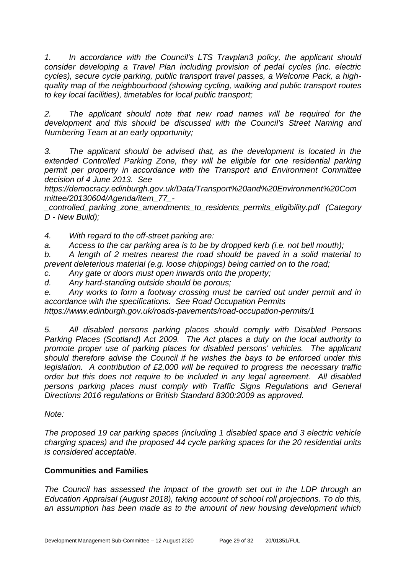*1. In accordance with the Council's LTS Travplan3 policy, the applicant should consider developing a Travel Plan including provision of pedal cycles (inc. electric cycles), secure cycle parking, public transport travel passes, a Welcome Pack, a highquality map of the neighbourhood (showing cycling, walking and public transport routes to key local facilities), timetables for local public transport;*

*2. The applicant should note that new road names will be required for the development and this should be discussed with the Council's Street Naming and Numbering Team at an early opportunity;*

*3. The applicant should be advised that, as the development is located in the*  extended Controlled Parking Zone, they will be eligible for one residential parking *permit per property in accordance with the Transport and Environment Committee decision of 4 June 2013. See* 

*https://democracy.edinburgh.gov.uk/Data/Transport%20and%20Environment%20Com mittee/20130604/Agenda/item\_77\_-*

*\_controlled\_parking\_zone\_amendments\_to\_residents\_permits\_eligibility.pdf (Category D - New Build);*

*4. With regard to the off-street parking are:*

*a. Access to the car parking area is to be by dropped kerb (i.e. not bell mouth);*

*b. A length of 2 metres nearest the road should be paved in a solid material to prevent deleterious material (e.g. loose chippings) being carried on to the road;*

*c. Any gate or doors must open inwards onto the property;*

*d. Any hard-standing outside should be porous;*

*e. Any works to form a footway crossing must be carried out under permit and in accordance with the specifications. See Road Occupation Permits*

*https://www.edinburgh.gov.uk/roads-pavements/road-occupation-permits/1*

*5. All disabled persons parking places should comply with Disabled Persons Parking Places (Scotland) Act 2009. The Act places a duty on the local authority to promote proper use of parking places for disabled persons' vehicles. The applicant should therefore advise the Council if he wishes the bays to be enforced under this legislation. A contribution of £2,000 will be required to progress the necessary traffic order but this does not require to be included in any legal agreement. All disabled persons parking places must comply with Traffic Signs Regulations and General Directions 2016 regulations or British Standard 8300:2009 as approved.*

*Note:*

*The proposed 19 car parking spaces (including 1 disabled space and 3 electric vehicle charging spaces) and the proposed 44 cycle parking spaces for the 20 residential units is considered acceptable.*

# **Communities and Families**

*The Council has assessed the impact of the growth set out in the LDP through an Education Appraisal (August 2018), taking account of school roll projections. To do this, an assumption has been made as to the amount of new housing development which*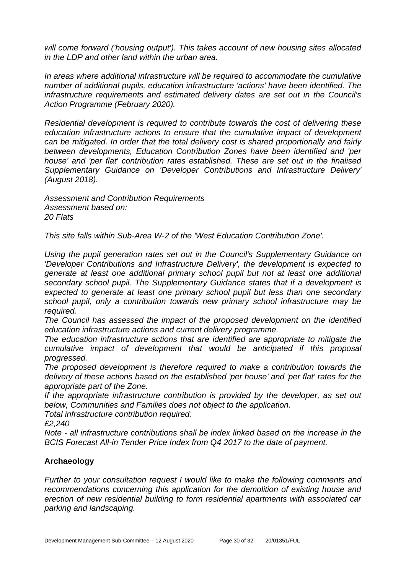*will come forward ('housing output'). This takes account of new housing sites allocated in the LDP and other land within the urban area.*

*In areas where additional infrastructure will be required to accommodate the cumulative number of additional pupils, education infrastructure 'actions' have been identified. The infrastructure requirements and estimated delivery dates are set out in the Council's Action Programme (February 2020).*

*Residential development is required to contribute towards the cost of delivering these education infrastructure actions to ensure that the cumulative impact of development can be mitigated. In order that the total delivery cost is shared proportionally and fairly between developments, Education Contribution Zones have been identified and 'per house' and 'per flat' contribution rates established. These are set out in the finalised Supplementary Guidance on 'Developer Contributions and Infrastructure Delivery' (August 2018).* 

*Assessment and Contribution Requirements Assessment based on: 20 Flats*

*This site falls within Sub-Area W-2 of the 'West Education Contribution Zone'.* 

*Using the pupil generation rates set out in the Council's Supplementary Guidance on 'Developer Contributions and Infrastructure Delivery', the development is expected to generate at least one additional primary school pupil but not at least one additional secondary school pupil. The Supplementary Guidance states that if a development is expected to generate at least one primary school pupil but less than one secondary school pupil, only a contribution towards new primary school infrastructure may be required.*

*The Council has assessed the impact of the proposed development on the identified education infrastructure actions and current delivery programme.* 

*The education infrastructure actions that are identified are appropriate to mitigate the cumulative impact of development that would be anticipated if this proposal progressed.* 

*The proposed development is therefore required to make a contribution towards the delivery of these actions based on the established 'per house' and 'per flat' rates for the appropriate part of the Zone.*

*If the appropriate infrastructure contribution is provided by the developer, as set out below, Communities and Families does not object to the application.*

*Total infrastructure contribution required:*

*£2,240*

*Note - all infrastructure contributions shall be index linked based on the increase in the BCIS Forecast All-in Tender Price Index from Q4 2017 to the date of payment.*

# **Archaeology**

*Further to your consultation request I would like to make the following comments and recommendations concerning this application for the demolition of existing house and erection of new residential building to form residential apartments with associated car parking and landscaping.*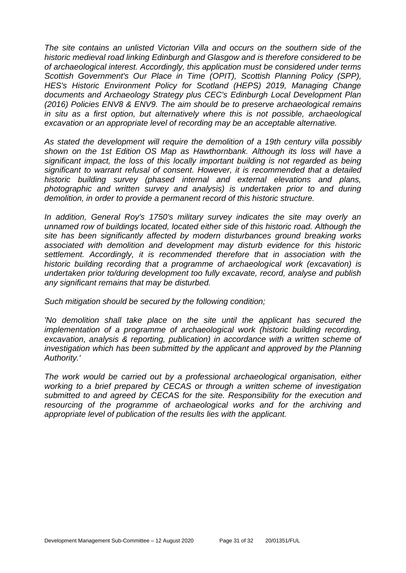*The site contains an unlisted Victorian Villa and occurs on the southern side of the historic medieval road linking Edinburgh and Glasgow and is therefore considered to be of archaeological interest. Accordingly, this application must be considered under terms Scottish Government's Our Place in Time (OPIT), Scottish Planning Policy (SPP), HES's Historic Environment Policy for Scotland (HEPS) 2019, Managing Change documents and Archaeology Strategy plus CEC's Edinburgh Local Development Plan (2016) Policies ENV8 & ENV9. The aim should be to preserve archaeological remains in situ as a first option, but alternatively where this is not possible, archaeological excavation or an appropriate level of recording may be an acceptable alternative.*

*As stated the development will require the demolition of a 19th century villa possibly shown on the 1st Edition OS Map as Hawthornbank. Although its loss will have a significant impact, the loss of this locally important building is not regarded as being significant to warrant refusal of consent. However, it is recommended that a detailed historic building survey (phased internal and external elevations and plans, photographic and written survey and analysis) is undertaken prior to and during demolition, in order to provide a permanent record of this historic structure.* 

*In addition, General Roy's 1750's military survey indicates the site may overly an unnamed row of buildings located, located either side of this historic road. Although the site has been significantly affected by modern disturbances ground breaking works associated with demolition and development may disturb evidence for this historic settlement. Accordingly, it is recommended therefore that in association with the historic building recording that a programme of archaeological work (excavation) is undertaken prior to/during development too fully excavate, record, analyse and publish any significant remains that may be disturbed.* 

*Such mitigation should be secured by the following condition;* 

*'No demolition shall take place on the site until the applicant has secured the implementation of a programme of archaeological work (historic building recording, excavation, analysis & reporting, publication) in accordance with a written scheme of investigation which has been submitted by the applicant and approved by the Planning Authority.'* 

*The work would be carried out by a professional archaeological organisation, either working to a brief prepared by CECAS or through a written scheme of investigation submitted to and agreed by CECAS for the site. Responsibility for the execution and resourcing of the programme of archaeological works and for the archiving and appropriate level of publication of the results lies with the applicant.*